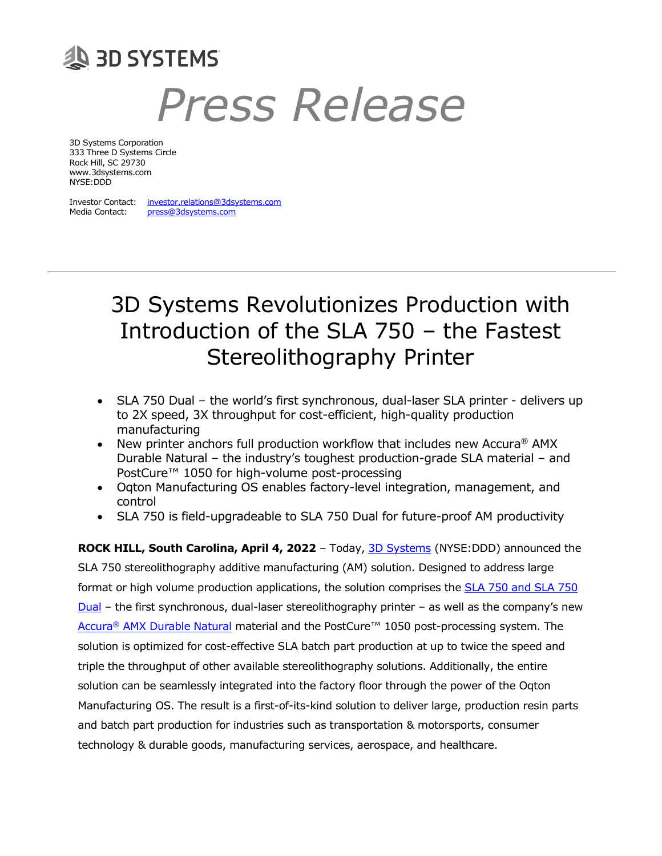

# Press Release

3D Systems Corporation 333 Three D Systems Circle Rock Hill, SC 29730 www.3dsystems.com NYSE:DDD

Investor Contact: investor.relations@3dsystems.com Media Contact: press@3dsystems.com

## 3D Systems Revolutionizes Production with Introduction of the SLA 750 – the Fastest Stereolithography Printer

- SLA 750 Dual the world's first synchronous, dual-laser SLA printer delivers up to 2X speed, 3X throughput for cost-efficient, high-quality production manufacturing
- New printer anchors full production workflow that includes new Accura<sup>®</sup> AMX Durable Natural – the industry's toughest production-grade SLA material – and PostCure™ 1050 for high-volume post-processing
- Oqton Manufacturing OS enables factory-level integration, management, and control
- SLA 750 is field-upgradeable to SLA 750 Dual for future-proof AM productivity

ROCK HILL, South Carolina, April 4, 2022 – Today, 3D Systems (NYSE:DDD) announced the SLA 750 stereolithography additive manufacturing (AM) solution. Designed to address large format or high volume production applications, the solution comprises the SLA 750 and SLA 750  $Dual -$  the first synchronous, dual-laser stereolithography printer – as well as the company's new Accura<sup>®</sup> AMX Durable Natural material and the PostCure<sup>™</sup> 1050 post-processing system. The solution is optimized for cost-effective SLA batch part production at up to twice the speed and triple the throughput of other available stereolithography solutions. Additionally, the entire solution can be seamlessly integrated into the factory floor through the power of the Oqton Manufacturing OS. The result is a first-of-its-kind solution to deliver large, production resin parts and batch part production for industries such as transportation & motorsports, consumer technology & durable goods, manufacturing services, aerospace, and healthcare.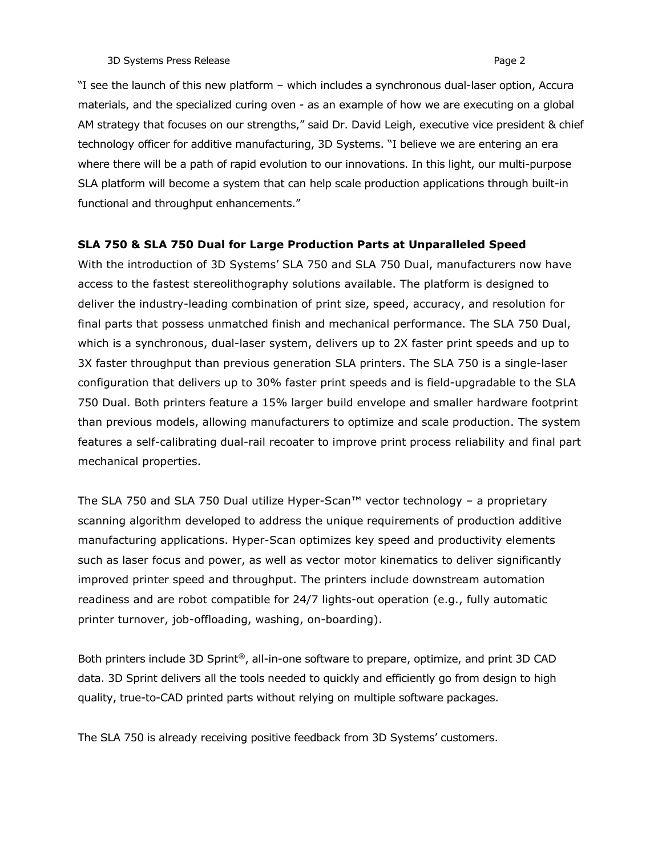"I see the launch of this new platform – which includes a synchronous dual-laser option, Accura materials, and the specialized curing oven - as an example of how we are executing on a global AM strategy that focuses on our strengths," said Dr. David Leigh, executive vice president & chief technology officer for additive manufacturing, 3D Systems. "I believe we are entering an era where there will be a path of rapid evolution to our innovations. In this light, our multi-purpose SLA platform will become a system that can help scale production applications through built-in functional and throughput enhancements."

#### SLA 750 & SLA 750 Dual for Large Production Parts at Unparalleled Speed

With the introduction of 3D Systems' SLA 750 and SLA 750 Dual, manufacturers now have access to the fastest stereolithography solutions available. The platform is designed to deliver the industry-leading combination of print size, speed, accuracy, and resolution for final parts that possess unmatched finish and mechanical performance. The SLA 750 Dual, which is a synchronous, dual-laser system, delivers up to 2X faster print speeds and up to 3X faster throughput than previous generation SLA printers. The SLA 750 is a single-laser configuration that delivers up to 30% faster print speeds and is field-upgradable to the SLA 750 Dual. Both printers feature a 15% larger build envelope and smaller hardware footprint than previous models, allowing manufacturers to optimize and scale production. The system features a self-calibrating dual-rail recoater to improve print process reliability and final part mechanical properties.

The SLA 750 and SLA 750 Dual utilize Hyper-Scan™ vector technology – a proprietary scanning algorithm developed to address the unique requirements of production additive manufacturing applications. Hyper-Scan optimizes key speed and productivity elements such as laser focus and power, as well as vector motor kinematics to deliver significantly improved printer speed and throughput. The printers include downstream automation readiness and are robot compatible for 24/7 lights-out operation (e.g., fully automatic printer turnover, job-offloading, washing, on-boarding).

Both printers include 3D Sprint®, all-in-one software to prepare, optimize, and print 3D CAD data. 3D Sprint delivers all the tools needed to quickly and efficiently go from design to high quality, true-to-CAD printed parts without relying on multiple software packages.

The SLA 750 is already receiving positive feedback from 3D Systems' customers.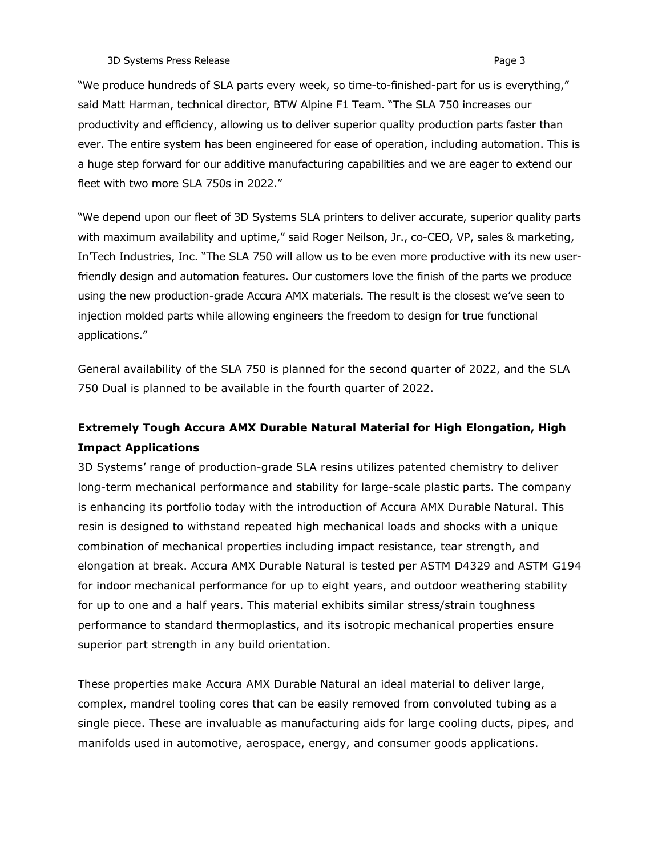#### 3D Systems Press Release **Page 3** and the system of the system of the system of the system of the system of the system of the system of the system of the system of the system of the system of the system of the system of th

"We produce hundreds of SLA parts every week, so time-to-finished-part for us is everything," said Matt Harman, technical director, BTW Alpine F1 Team. "The SLA 750 increases our productivity and efficiency, allowing us to deliver superior quality production parts faster than ever. The entire system has been engineered for ease of operation, including automation. This is a huge step forward for our additive manufacturing capabilities and we are eager to extend our fleet with two more SLA 750s in 2022."

"We depend upon our fleet of 3D Systems SLA printers to deliver accurate, superior quality parts with maximum availability and uptime," said Roger Neilson, Jr., co-CEO, VP, sales & marketing, In'Tech Industries, Inc. "The SLA 750 will allow us to be even more productive with its new userfriendly design and automation features. Our customers love the finish of the parts we produce using the new production-grade Accura AMX materials. The result is the closest we've seen to injection molded parts while allowing engineers the freedom to design for true functional applications."

General availability of the SLA 750 is planned for the second quarter of 2022, and the SLA 750 Dual is planned to be available in the fourth quarter of 2022.

### Extremely Tough Accura AMX Durable Natural Material for High Elongation, High Impact Applications

3D Systems' range of production-grade SLA resins utilizes patented chemistry to deliver long-term mechanical performance and stability for large-scale plastic parts. The company is enhancing its portfolio today with the introduction of Accura AMX Durable Natural. This resin is designed to withstand repeated high mechanical loads and shocks with a unique combination of mechanical properties including impact resistance, tear strength, and elongation at break. Accura AMX Durable Natural is tested per ASTM D4329 and ASTM G194 for indoor mechanical performance for up to eight years, and outdoor weathering stability for up to one and a half years. This material exhibits similar stress/strain toughness performance to standard thermoplastics, and its isotropic mechanical properties ensure superior part strength in any build orientation.

These properties make Accura AMX Durable Natural an ideal material to deliver large, complex, mandrel tooling cores that can be easily removed from convoluted tubing as a single piece. These are invaluable as manufacturing aids for large cooling ducts, pipes, and manifolds used in automotive, aerospace, energy, and consumer goods applications.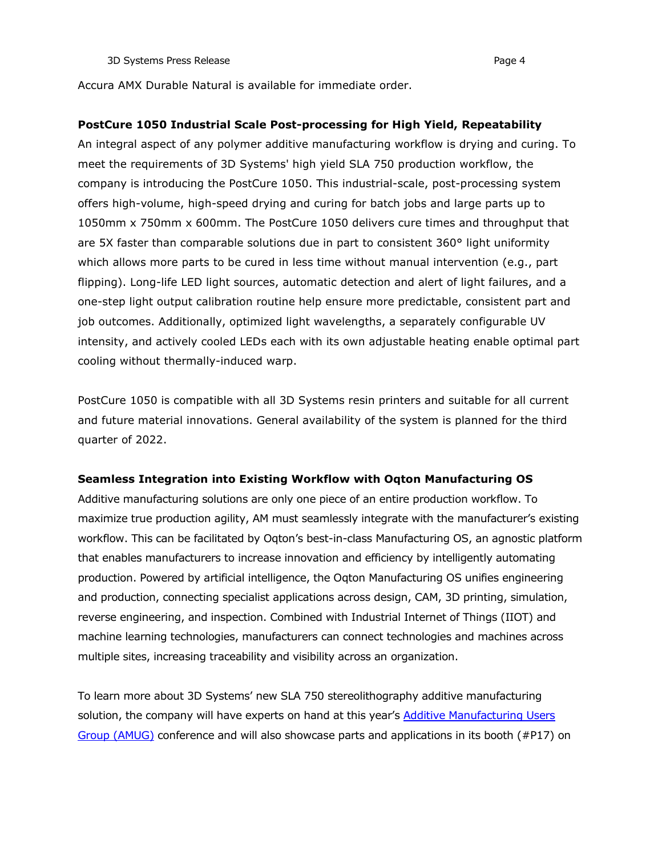3D Systems Press Release **Page 4** and the system of the system of the system of the system of the system of the system of the system of the system of the system of the system of the system of the system of the system of th

Accura AMX Durable Natural is available for immediate order.

#### PostCure 1050 Industrial Scale Post-processing for High Yield, Repeatability

An integral aspect of any polymer additive manufacturing workflow is drying and curing. To meet the requirements of 3D Systems' high yield SLA 750 production workflow, the company is introducing the PostCure 1050. This industrial-scale, post-processing system offers high-volume, high-speed drying and curing for batch jobs and large parts up to 1050mm x 750mm x 600mm. The PostCure 1050 delivers cure times and throughput that are 5X faster than comparable solutions due in part to consistent 360° light uniformity which allows more parts to be cured in less time without manual intervention (e.g., part flipping). Long-life LED light sources, automatic detection and alert of light failures, and a one-step light output calibration routine help ensure more predictable, consistent part and job outcomes. Additionally, optimized light wavelengths, a separately configurable UV intensity, and actively cooled LEDs each with its own adjustable heating enable optimal part cooling without thermally-induced warp.

PostCure 1050 is compatible with all 3D Systems resin printers and suitable for all current and future material innovations. General availability of the system is planned for the third quarter of 2022.

#### Seamless Integration into Existing Workflow with Oqton Manufacturing OS

Additive manufacturing solutions are only one piece of an entire production workflow. To maximize true production agility, AM must seamlessly integrate with the manufacturer's existing workflow. This can be facilitated by Oqton's best-in-class Manufacturing OS, an agnostic platform that enables manufacturers to increase innovation and efficiency by intelligently automating production. Powered by artificial intelligence, the Oqton Manufacturing OS unifies engineering and production, connecting specialist applications across design, CAM, 3D printing, simulation, reverse engineering, and inspection. Combined with Industrial Internet of Things (IIOT) and machine learning technologies, manufacturers can connect technologies and machines across multiple sites, increasing traceability and visibility across an organization.

To learn more about 3D Systems' new SLA 750 stereolithography additive manufacturing solution, the company will have experts on hand at this year's Additive Manufacturing Users Group (AMUG) conference and will also showcase parts and applications in its booth (#P17) on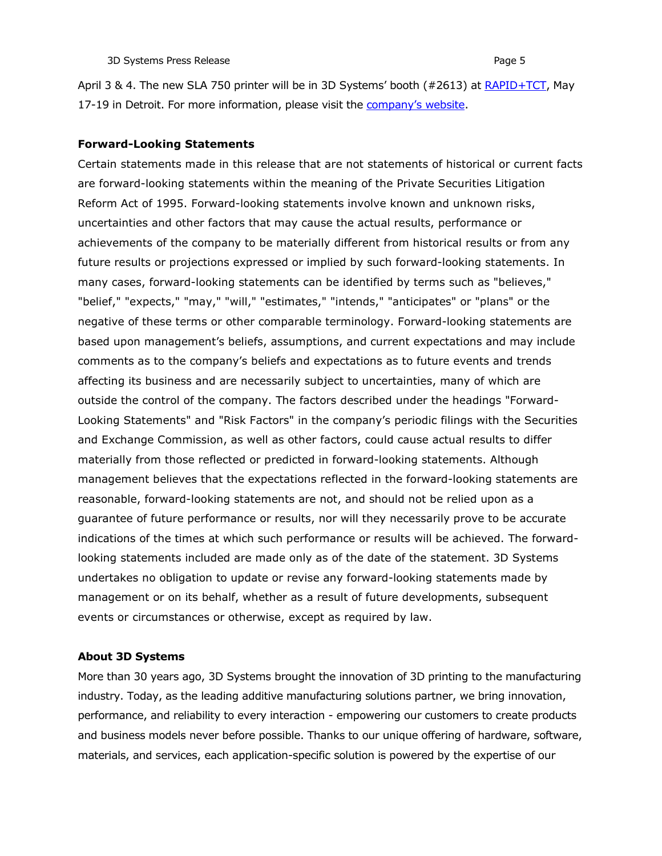April 3 & 4. The new SLA 750 printer will be in 3D Systems' booth (#2613) at RAPID+TCT, May 17-19 in Detroit. For more information, please visit the company's website.

#### Forward-Looking Statements

Certain statements made in this release that are not statements of historical or current facts are forward-looking statements within the meaning of the Private Securities Litigation Reform Act of 1995. Forward-looking statements involve known and unknown risks, uncertainties and other factors that may cause the actual results, performance or achievements of the company to be materially different from historical results or from any future results or projections expressed or implied by such forward-looking statements. In many cases, forward-looking statements can be identified by terms such as "believes," "belief," "expects," "may," "will," "estimates," "intends," "anticipates" or "plans" or the negative of these terms or other comparable terminology. Forward-looking statements are based upon management's beliefs, assumptions, and current expectations and may include comments as to the company's beliefs and expectations as to future events and trends affecting its business and are necessarily subject to uncertainties, many of which are outside the control of the company. The factors described under the headings "Forward-Looking Statements" and "Risk Factors" in the company's periodic filings with the Securities and Exchange Commission, as well as other factors, could cause actual results to differ materially from those reflected or predicted in forward-looking statements. Although management believes that the expectations reflected in the forward-looking statements are reasonable, forward-looking statements are not, and should not be relied upon as a guarantee of future performance or results, nor will they necessarily prove to be accurate indications of the times at which such performance or results will be achieved. The forwardlooking statements included are made only as of the date of the statement. 3D Systems undertakes no obligation to update or revise any forward-looking statements made by management or on its behalf, whether as a result of future developments, subsequent events or circumstances or otherwise, except as required by law.

#### About 3D Systems

More than 30 years ago, 3D Systems brought the innovation of 3D printing to the manufacturing industry. Today, as the leading additive manufacturing solutions partner, we bring innovation, performance, and reliability to every interaction - empowering our customers to create products and business models never before possible. Thanks to our unique offering of hardware, software, materials, and services, each application-specific solution is powered by the expertise of our